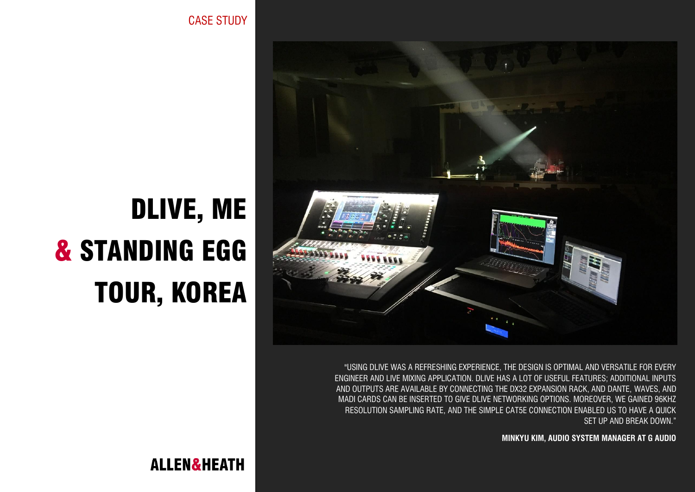CASE STUDY



"USING DLIVE WAS A REFRESHING EXPERIENCE, THE DESIGN IS OPTIMAL AND VERSATILE FOR EVERY ENGINEER AND LIVE MIXING APPLICATION. DLIVE HAS A LOT OF USEFUL FEATURES; ADDITIONAL INPUTS AND OUTPUTS ARE AVAILABLE BY CONNECTING THE DX32 EXPANSION RACK, AND DANTE, WAVES, AND MADI CARDS CAN BE INSERTED TO GIVE DLIVE NETWORKING OPTIONS. MOREOVER, WE GAINED 96KHZ RESOLUTION SAMPLING RATE, AND THE SIMPLE CAT5E CONNECTION ENABLED US TO HAVE A QUICK SET UP AND BREAK DOWN."

**MINKYU KIM, AUDIO SYSTEM MANAGER AT G AUDIO**

## DLIVE, ME & STANDING EGG TOUR, KOREA

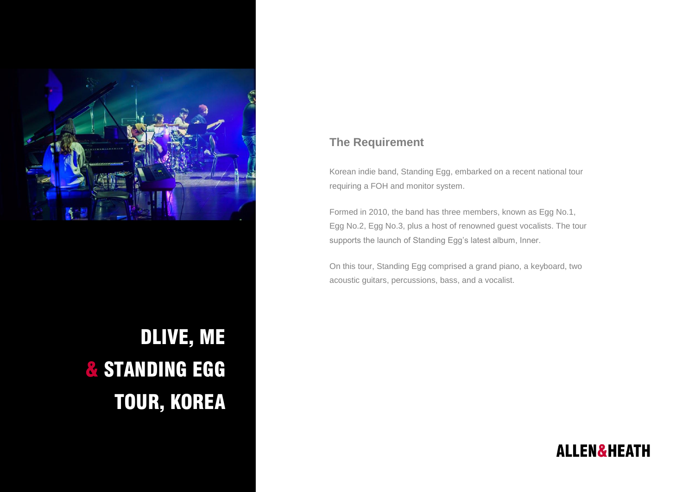

DLIVE, ME & STANDING EGG TOUR, KOREA

## **The Requirement**

Korean indie band, Standing Egg, embarked on a recent national tour requiring a FOH and monitor system.

Formed in 2010, the band has three members, known as Egg No.1, Egg No.2, Egg No.3, plus a host of renowned guest vocalists. The tour supports the launch of Standing Egg's latest album, Inner.

On this tour, Standing Egg comprised a grand piano, a keyboard, two acoustic guitars, percussions, bass, and a vocalist.

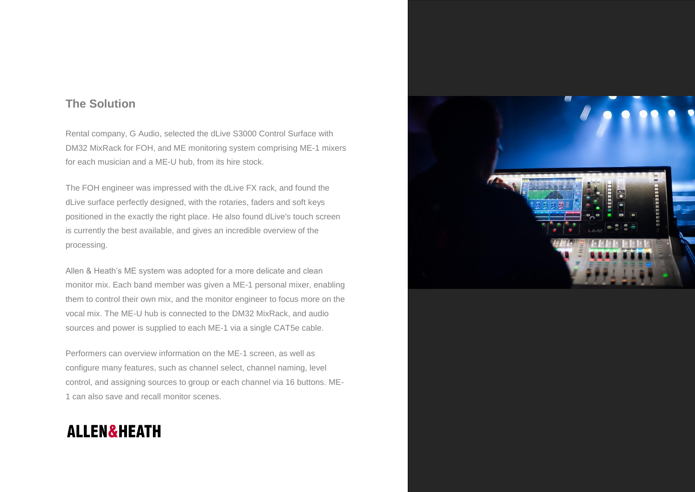## **The Solution**

Rental company, G Audio, selected the dLive S3000 Control Surface with DM32 MixRack for FOH, and ME monitoring system comprising ME-1 mixers for each musician and a ME-U hub, from its hire stock.

The FOH engineer was impressed with the dLive FX rack, and found the dLive surface perfectly designed, with the rotaries, faders and soft keys positioned in the exactly the right place. He also found dLive's touch screen is currently the best available, and gives an incredible overview of the processing.

Allen & Heath's ME system was adopted for a more delicate and clean monitor mix. Each band member was given a ME-1 personal mixer, enabling them to control their own mix, and the monitor engineer to focus more on the vocal mix. The ME-U hub is connected to the DM32 MixRack, and audio sources and power is supplied to each ME-1 via a single CAT5e cable.

Performers can overview information on the ME-1 screen, as well as configure many features, such as channel select, channel naming, level control, and assigning sources to group or each channel via 16 buttons. ME-1 can also save and recall monitor scenes.

## **ALLEN&HEATH**